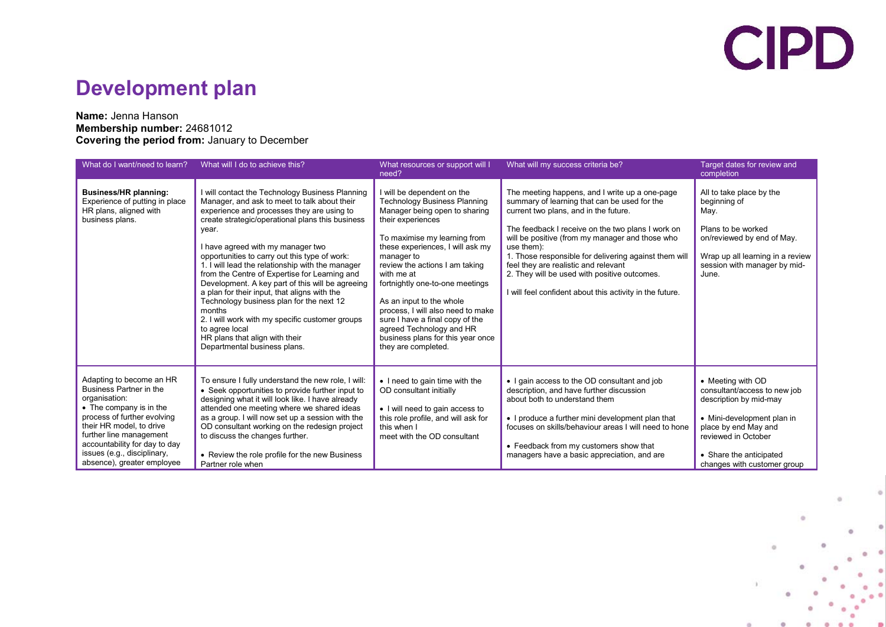# **CIPD**

#### **Development plan**

#### **Name:** Jenna Hanson **Membership number:** 24681012 **Covering the period from:** January to December

| What do I want/need to learn?                                                                                                                                                                                                                                                       | What will I do to achieve this?                                                                                                                                                                                                                                                                                                                                                                                                                                                                                                                                                                                                                                                                        | What resources or support will I<br>need?                                                                                                                                                                                                                                                                                                                                                                                                                                                | What will my success criteria be?                                                                                                                                                                                                                                                                                                                                                                                                                                          | Target dates for review and<br>completion                                                                                                                                                                          |
|-------------------------------------------------------------------------------------------------------------------------------------------------------------------------------------------------------------------------------------------------------------------------------------|--------------------------------------------------------------------------------------------------------------------------------------------------------------------------------------------------------------------------------------------------------------------------------------------------------------------------------------------------------------------------------------------------------------------------------------------------------------------------------------------------------------------------------------------------------------------------------------------------------------------------------------------------------------------------------------------------------|------------------------------------------------------------------------------------------------------------------------------------------------------------------------------------------------------------------------------------------------------------------------------------------------------------------------------------------------------------------------------------------------------------------------------------------------------------------------------------------|----------------------------------------------------------------------------------------------------------------------------------------------------------------------------------------------------------------------------------------------------------------------------------------------------------------------------------------------------------------------------------------------------------------------------------------------------------------------------|--------------------------------------------------------------------------------------------------------------------------------------------------------------------------------------------------------------------|
| Business/HR planning:<br>Experience of putting in place<br>HR plans, aligned with<br>business plans.                                                                                                                                                                                | I will contact the Technology Business Planning<br>Manager, and ask to meet to talk about their<br>experience and processes they are using to<br>create strategic/operational plans this business<br>year.<br>I have agreed with my manager two<br>opportunities to carry out this type of work:<br>1. I will lead the relationship with the manager<br>from the Centre of Expertise for Learning and<br>Development. A key part of this will be agreeing<br>a plan for their input, that aligns with the<br>Technology business plan for the next 12<br>months<br>2. I will work with my specific customer groups<br>to agree local<br>HR plans that align with their<br>Departmental business plans. | I will be dependent on the<br><b>Technology Business Planning</b><br>Manager being open to sharing<br>their experiences<br>To maximise my learning from<br>these experiences, I will ask my<br>manager to<br>review the actions I am taking<br>with me at<br>fortnightly one-to-one meetings<br>As an input to the whole<br>process, I will also need to make<br>sure I have a final copy of the<br>agreed Technology and HR<br>business plans for this year once<br>they are completed. | The meeting happens, and I write up a one-page<br>summary of learning that can be used for the<br>current two plans, and in the future.<br>The feedback I receive on the two plans I work on<br>will be positive (from my manager and those who<br>use them):<br>1. Those responsible for delivering against them will<br>feel they are realistic and relevant<br>2. They will be used with positive outcomes.<br>I will feel confident about this activity in the future. | All to take place by the<br>beginning of<br>May.<br>Plans to be worked<br>on/reviewed by end of May.<br>Wrap up all learning in a review<br>session with manager by mid-<br>June.                                  |
| Adapting to become an HR<br>Business Partner in the<br>organisation:<br>• The company is in the<br>process of further evolving<br>their HR model, to drive<br>further line management<br>accountability for day to day<br>issues (e.g., disciplinary,<br>absence), greater employee | To ensure I fully understand the new role, I will:<br>• Seek opportunities to provide further input to<br>designing what it will look like. I have already<br>attended one meeting where we shared ideas<br>as a group. I will now set up a session with the<br>OD consultant working on the redesign project<br>to discuss the changes further.<br>• Review the role profile for the new Business<br>Partner role when                                                                                                                                                                                                                                                                                | • I need to gain time with the<br>OD consultant initially<br>• I will need to gain access to<br>this role profile, and will ask for<br>this when I<br>meet with the OD consultant                                                                                                                                                                                                                                                                                                        | • I gain access to the OD consultant and job<br>description, and have further discussion<br>about both to understand them<br>• I produce a further mini development plan that<br>focuses on skills/behaviour areas I will need to hone<br>• Feedback from my customers show that<br>managers have a basic appreciation, and are                                                                                                                                            | • Meeting with OD<br>consultant/access to new job<br>description by mid-may<br>• Mini-development plan in<br>place by end May and<br>reviewed in October<br>• Share the anticipated<br>changes with customer group |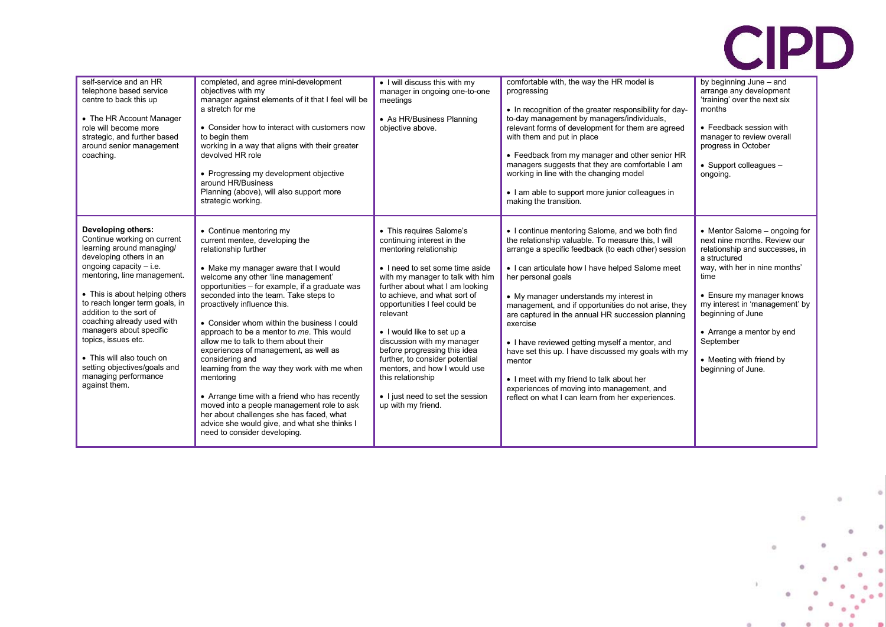

| self-service and an HR<br>telephone based service<br>centre to back this up<br>• The HR Account Manager<br>role will become more<br>strategic, and further based<br>around senior management<br>coaching.                                                                                                                                                                                                                                                  | completed, and agree mini-development<br>objectives with my<br>manager against elements of it that I feel will be<br>a stretch for me<br>• Consider how to interact with customers now<br>to begin them<br>working in a way that aligns with their greater<br>devolved HR role<br>• Progressing my development objective<br>around HR/Business<br>Planning (above), will also support more<br>strategic working.                                                                                                                                                                                                                                                                                                                                                                   | • I will discuss this with my<br>manager in ongoing one-to-one<br>meetings<br>• As HR/Business Planning<br>objective above.                                                                                                                                                                                                                                                                                                                                                                                          | comfortable with, the way the HR model is<br>progressing<br>• In recognition of the greater responsibility for day-<br>to-day management by managers/individuals,<br>relevant forms of development for them are agreed<br>with them and put in place<br>• Feedback from my manager and other senior HR<br>managers suggests that they are comfortable I am<br>working in line with the changing model<br>• I am able to support more junior colleagues in<br>making the transition.                                                                                                                                                                                          | by beginning June - and<br>arrange any development<br>'training' over the next six<br>months<br>• Feedback session with<br>manager to review overall<br>progress in October<br>$\bullet$ Support colleagues $-$<br>ongoing.                                                                                                              |
|------------------------------------------------------------------------------------------------------------------------------------------------------------------------------------------------------------------------------------------------------------------------------------------------------------------------------------------------------------------------------------------------------------------------------------------------------------|------------------------------------------------------------------------------------------------------------------------------------------------------------------------------------------------------------------------------------------------------------------------------------------------------------------------------------------------------------------------------------------------------------------------------------------------------------------------------------------------------------------------------------------------------------------------------------------------------------------------------------------------------------------------------------------------------------------------------------------------------------------------------------|----------------------------------------------------------------------------------------------------------------------------------------------------------------------------------------------------------------------------------------------------------------------------------------------------------------------------------------------------------------------------------------------------------------------------------------------------------------------------------------------------------------------|------------------------------------------------------------------------------------------------------------------------------------------------------------------------------------------------------------------------------------------------------------------------------------------------------------------------------------------------------------------------------------------------------------------------------------------------------------------------------------------------------------------------------------------------------------------------------------------------------------------------------------------------------------------------------|------------------------------------------------------------------------------------------------------------------------------------------------------------------------------------------------------------------------------------------------------------------------------------------------------------------------------------------|
| Developing others:<br>Continue working on current<br>learning around managing/<br>developing others in an<br>ongoing capacity $-$ i.e.<br>mentoring, line management.<br>• This is about helping others<br>to reach longer term goals, in<br>addition to the sort of<br>coaching already used with<br>managers about specific<br>topics, issues etc.<br>• This will also touch on<br>setting objectives/goals and<br>managing performance<br>against them. | • Continue mentoring my<br>current mentee, developing the<br>relationship further<br>• Make my manager aware that I would<br>welcome any other 'line management'<br>opportunities - for example, if a graduate was<br>seconded into the team. Take steps to<br>proactively influence this.<br>• Consider whom within the business I could<br>approach to be a mentor to me. This would<br>allow me to talk to them about their<br>experiences of management, as well as<br>considering and<br>learning from the way they work with me when<br>mentoring<br>• Arrange time with a friend who has recently<br>moved into a people management role to ask<br>her about challenges she has faced, what<br>advice she would give, and what she thinks I<br>need to consider developing. | • This requires Salome's<br>continuing interest in the<br>mentoring relationship<br>• I need to set some time aside<br>with my manager to talk with him<br>further about what I am looking<br>to achieve, and what sort of<br>opportunities I feel could be<br>relevant<br>• I would like to set up a<br>discussion with my manager<br>before progressing this idea<br>further, to consider potential<br>mentors, and how I would use<br>this relationship<br>• I just need to set the session<br>up with my friend. | • I continue mentoring Salome, and we both find<br>the relationship valuable. To measure this, I will<br>arrange a specific feedback (to each other) session<br>• I can articulate how I have helped Salome meet<br>her personal goals<br>• My manager understands my interest in<br>management, and if opportunities do not arise, they<br>are captured in the annual HR succession planning<br>exercise<br>• I have reviewed getting myself a mentor, and<br>have set this up. I have discussed my goals with my<br>mentor<br>• I meet with my friend to talk about her<br>experiences of moving into management, and<br>reflect on what I can learn from her experiences. | • Mentor Salome – ongoing for<br>next nine months. Review our<br>relationship and successes, in<br>a structured<br>way, with her in nine months'<br>time<br>• Ensure my manager knows<br>my interest in 'management' by<br>beginning of June<br>• Arrange a mentor by end<br>September<br>• Meeting with friend by<br>beginning of June. |



 $\rightarrow$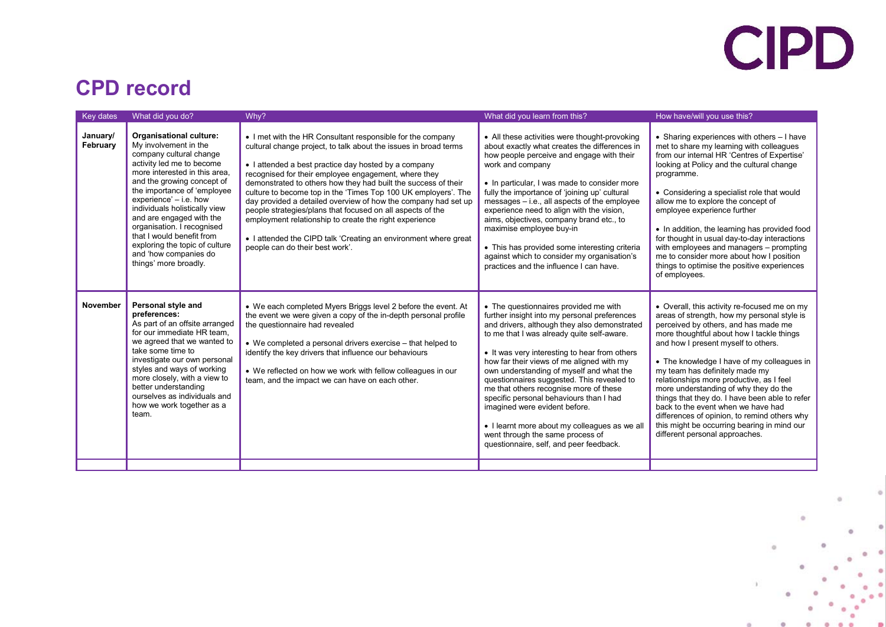# CIPD

#### **CPD record**

| Key dates            | What did you do?                                                                                                                                                                                                                                                                                                                                                                                                                             | Why?                                                                                                                                                                                                                                                                                                                                                                                                                                                                                                                                                                                                                                                                               | What did you learn from this?                                                                                                                                                                                                                                                                                                                                                                                                                                                                                                                                                                                                     | How have/will you use this?                                                                                                                                                                                                                                                                                                                                                                                                                                                                                                                                                                                           |
|----------------------|----------------------------------------------------------------------------------------------------------------------------------------------------------------------------------------------------------------------------------------------------------------------------------------------------------------------------------------------------------------------------------------------------------------------------------------------|------------------------------------------------------------------------------------------------------------------------------------------------------------------------------------------------------------------------------------------------------------------------------------------------------------------------------------------------------------------------------------------------------------------------------------------------------------------------------------------------------------------------------------------------------------------------------------------------------------------------------------------------------------------------------------|-----------------------------------------------------------------------------------------------------------------------------------------------------------------------------------------------------------------------------------------------------------------------------------------------------------------------------------------------------------------------------------------------------------------------------------------------------------------------------------------------------------------------------------------------------------------------------------------------------------------------------------|-----------------------------------------------------------------------------------------------------------------------------------------------------------------------------------------------------------------------------------------------------------------------------------------------------------------------------------------------------------------------------------------------------------------------------------------------------------------------------------------------------------------------------------------------------------------------------------------------------------------------|
| January/<br>February | Organisational culture:<br>My involvement in the<br>company cultural change<br>activity led me to become<br>more interested in this area.<br>and the growing concept of<br>the importance of 'employee<br>experience' - i.e. how<br>individuals holistically view<br>and are engaged with the<br>organisation. I recognised<br>that I would benefit from<br>exploring the topic of culture<br>and 'how companies do<br>things' more broadly. | • I met with the HR Consultant responsible for the company<br>cultural change project, to talk about the issues in broad terms<br>• I attended a best practice day hosted by a company<br>recognised for their employee engagement, where they<br>demonstrated to others how they had built the success of their<br>culture to become top in the 'Times Top 100 UK employers'. The<br>day provided a detailed overview of how the company had set up<br>people strategies/plans that focused on all aspects of the<br>employment relationship to create the right experience<br>• I attended the CIPD talk 'Creating an environment where great<br>people can do their best work'. | • All these activities were thought-provoking<br>about exactly what creates the differences in<br>how people perceive and engage with their<br>work and company<br>• In particular, I was made to consider more<br>fully the importance of 'joining up' cultural<br>messages - i.e., all aspects of the employee<br>experience need to align with the vision,<br>aims, objectives, company brand etc., to<br>maximise employee buy-in<br>• This has provided some interesting criteria<br>against which to consider my organisation's<br>practices and the influence I can have.                                                  | • Sharing experiences with others - I have<br>met to share my learning with colleagues<br>from our internal HR 'Centres of Expertise'<br>looking at Policy and the cultural change<br>programme.<br>• Considering a specialist role that would<br>allow me to explore the concept of<br>employee experience further<br>• In addition, the learning has provided food<br>for thought in usual day-to-day interactions<br>with employees and managers - prompting<br>me to consider more about how I position<br>things to optimise the positive experiences<br>of employees.                                           |
| November             | Personal style and<br>preferences:<br>As part of an offsite arranged<br>for our immediate HR team,<br>we agreed that we wanted to<br>take some time to<br>investigate our own personal<br>styles and ways of working<br>more closely, with a view to<br>better understanding<br>ourselves as individuals and<br>how we work together as a<br>team.                                                                                           | • We each completed Myers Briggs level 2 before the event. At<br>the event we were given a copy of the in-depth personal profile<br>the questionnaire had revealed<br>• We completed a personal drivers exercise – that helped to<br>identify the key drivers that influence our behaviours<br>• We reflected on how we work with fellow colleagues in our<br>team, and the impact we can have on each other.                                                                                                                                                                                                                                                                      | • The questionnaires provided me with<br>further insight into my personal preferences<br>and drivers, although they also demonstrated<br>to me that I was already quite self-aware.<br>• It was very interesting to hear from others<br>how far their views of me aligned with my<br>own understanding of myself and what the<br>questionnaires suggested. This revealed to<br>me that others recognise more of these<br>specific personal behaviours than I had<br>imagined were evident before.<br>• I learnt more about my colleagues as we all<br>went through the same process of<br>questionnaire, self, and peer feedback. | • Overall, this activity re-focused me on my<br>areas of strength, how my personal style is<br>perceived by others, and has made me<br>more thoughtful about how I tackle things<br>and how I present myself to others.<br>• The knowledge I have of my colleagues in<br>my team has definitely made my<br>relationships more productive, as I feel<br>more understanding of why they do the<br>things that they do. I have been able to refer<br>back to the event when we have had<br>differences of opinion, to remind others why<br>this might be occurring bearing in mind our<br>different personal approaches. |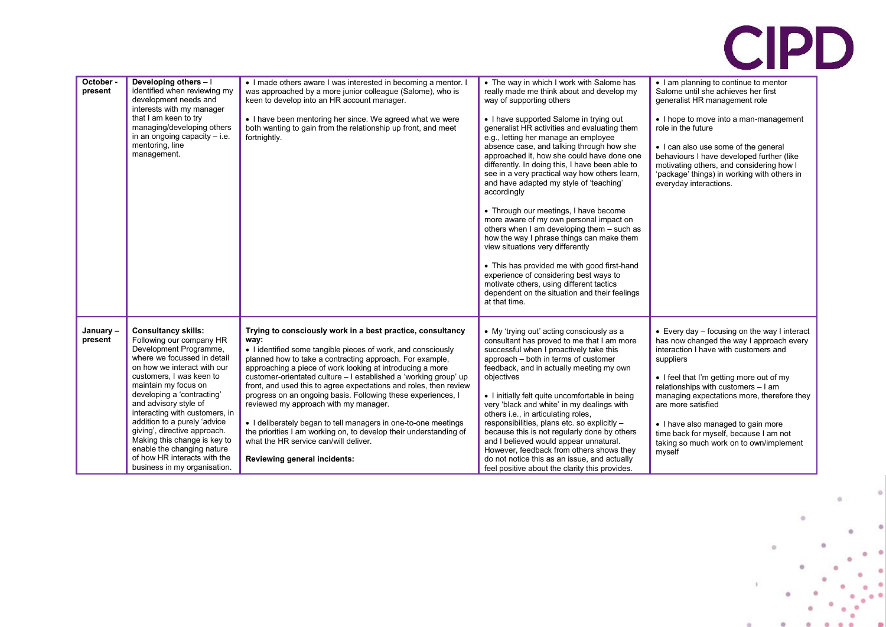# CIPD

| October -<br>present | Developing others - I<br>identified when reviewing my<br>development needs and<br>interests with my manager<br>that I am keen to try<br>managing/developing others<br>in an ongoing capacity $-$ i.e.<br>mentoring, line<br>management.                                                                                                                                                                                                                                                   | . I made others aware I was interested in becoming a mentor. I<br>was approached by a more junior colleague (Salome), who is<br>keen to develop into an HR account manager.<br>• I have been mentoring her since. We agreed what we were<br>both wanting to gain from the relationship up front, and meet<br>fortnightly.                                                                                                                                                                                                                                                                                                                                                                                                     | • The way in which I work with Salome has<br>really made me think about and develop my<br>way of supporting others<br>• I have supported Salome in trying out<br>generalist HR activities and evaluating them<br>e.g., letting her manage an employee<br>absence case, and talking through how she<br>approached it, how she could have done one<br>differently. In doing this, I have been able to<br>see in a very practical way how others learn,<br>and have adapted my style of 'teaching'<br>accordingly<br>• Through our meetings, I have become<br>more aware of my own personal impact on<br>others when I am developing them - such as<br>how the way I phrase things can make them<br>view situations very differently<br>• This has provided me with good first-hand<br>experience of considering best ways to<br>motivate others, using different tactics<br>dependent on the situation and their feelings<br>at that time. | • I am planning to continue to mentor<br>Salome until she achieves her first<br>generalist HR management role<br>• I hope to move into a man-management<br>role in the future<br>• I can also use some of the general<br>behaviours I have developed further (like<br>motivating others, and considering how I<br>'package' things) in working with others in<br>everyday interactions.                                                      |
|----------------------|-------------------------------------------------------------------------------------------------------------------------------------------------------------------------------------------------------------------------------------------------------------------------------------------------------------------------------------------------------------------------------------------------------------------------------------------------------------------------------------------|-------------------------------------------------------------------------------------------------------------------------------------------------------------------------------------------------------------------------------------------------------------------------------------------------------------------------------------------------------------------------------------------------------------------------------------------------------------------------------------------------------------------------------------------------------------------------------------------------------------------------------------------------------------------------------------------------------------------------------|------------------------------------------------------------------------------------------------------------------------------------------------------------------------------------------------------------------------------------------------------------------------------------------------------------------------------------------------------------------------------------------------------------------------------------------------------------------------------------------------------------------------------------------------------------------------------------------------------------------------------------------------------------------------------------------------------------------------------------------------------------------------------------------------------------------------------------------------------------------------------------------------------------------------------------------|----------------------------------------------------------------------------------------------------------------------------------------------------------------------------------------------------------------------------------------------------------------------------------------------------------------------------------------------------------------------------------------------------------------------------------------------|
| January-<br>present  | <b>Consultancy skills:</b><br>Following our company HR<br>Development Programme,<br>where we focussed in detail<br>on how we interact with our<br>customers, I was keen to<br>maintain my focus on<br>developing a 'contracting'<br>and advisory style of<br>interacting with customers, in<br>addition to a purely 'advice<br>giving', directive approach.<br>Making this change is key to<br>enable the changing nature<br>of how HR interacts with the<br>business in my organisation. | Trying to consciously work in a best practice, consultancy<br>way:<br>• I identified some tangible pieces of work, and consciously<br>planned how to take a contracting approach. For example,<br>approaching a piece of work looking at introducing a more<br>customer-orientated culture - I established a 'working group' up<br>front, and used this to agree expectations and roles, then review<br>progress on an ongoing basis. Following these experiences, I<br>reviewed my approach with my manager.<br>• I deliberately began to tell managers in one-to-one meetings<br>the priorities I am working on, to develop their understanding of<br>what the HR service can/will deliver.<br>Reviewing general incidents: | • My 'trying out' acting consciously as a<br>consultant has proved to me that I am more<br>successful when I proactively take this<br>approach - both in terms of customer<br>feedback, and in actually meeting my own<br>objectives<br>• I initially felt quite uncomfortable in being<br>very 'black and white' in my dealings with<br>others i.e., in articulating roles,<br>responsibilities, plans etc. so explicitly -<br>because this is not regularly done by others<br>and I believed would appear unnatural.<br>However, feedback from others shows they<br>do not notice this as an issue, and actually<br>feel positive about the clarity this provides.                                                                                                                                                                                                                                                                     | • Every day $-$ focusing on the way I interact<br>has now changed the way I approach every<br>interaction I have with customers and<br>suppliers<br>• I feel that I'm getting more out of my<br>relationships with customers - I am<br>managing expectations more, therefore they<br>are more satisfied<br>• I have also managed to gain more<br>time back for myself, because I am not<br>taking so much work on to own/implement<br>myself |